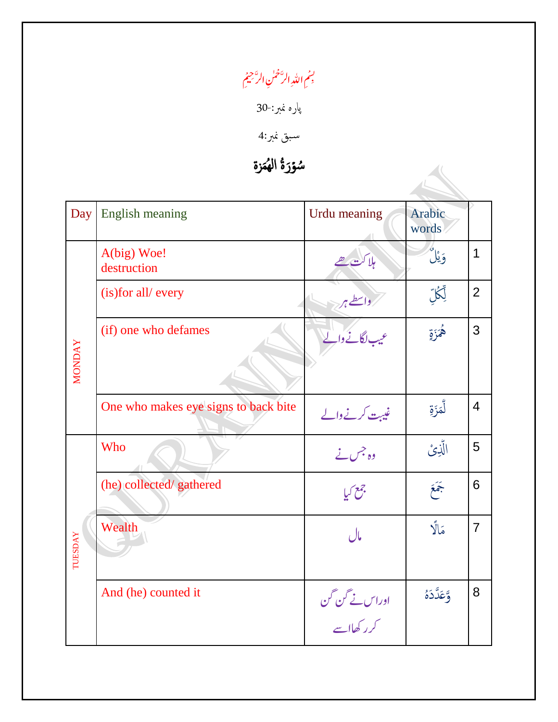## نم<br>م م بسم اللّٰہِ الرَّحْمٰنِ الرَّحِيمُ ن

پارہ منرب30-:

سبق نمبر:4

سُؤرَةُ الهُمَزة و<br>ا َ و<br>ل

| Day            | <b>English meaning</b>               | Urdu meaning                 | Arabic<br>words |                |
|----------------|--------------------------------------|------------------------------|-----------------|----------------|
|                | A(big) Woe!<br>destruction           | بلاكت تھے                    | وَيْلٌ          |                |
|                | (is) for all/every                   | رداسطے ہر                    | ؚڸٙۨػؙڸۜ        | $\overline{2}$ |
| <b>MONDAY</b>  | (if) one who defames                 | عیب لگانے والے               | ۿؙڗؘۊ           | 3              |
|                | One who makes eye signs to back bite | غیبت کرنے والے               | لْمَزَةِ        | $\overline{4}$ |
|                | Who                                  | وہ جس نے                     | الَّذِيْ        | 5              |
|                | (he) collected/ gathered             | جمع كيا                      | جَعَ            | 6              |
| <b>TUESDAY</b> | Wealth                               | مال                          | مَالًا          | $\overline{7}$ |
|                | And (he) counted it                  | اوراس نے گن گن<br>کرر کھااسے | وَّعَدَّدَهُ    | 8              |
|                |                                      |                              |                 |                |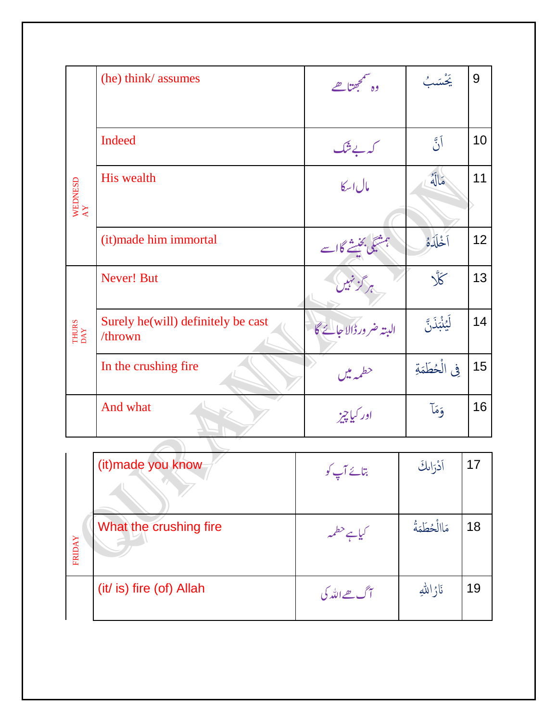|                                                | (he) think/ assumes                           | وہ سمجھتا ھے           | ڲٛۺٮؙ۪                | 9               |
|------------------------------------------------|-----------------------------------------------|------------------------|-----------------------|-----------------|
|                                                |                                               |                        |                       |                 |
|                                                | Indeed                                        | كەپ ئىگ                | آڻ                    | 10              |
| WEDNESD $\begin{array}{l}\text{AY}\end{array}$ | <b>His wealth</b>                             | مال اسكا               | خالَهٌ                | 11              |
|                                                | (it) made him immortal                        | ن بخیشے گااسے          | أخْلَدَهُ             | 12 <sup>2</sup> |
| THURS<br>DAY                                   | <b>Never! But</b>                             | ہر گزینیں              | $\tilde{\mathcal{K}}$ | 13              |
|                                                | Surely he(will) definitely be cast<br>/thrown | البته ضر ورڈالاجائے گا | ڶؽڹ۠ڹؘۮٙڹٞ            | 14              |
|                                                | In the crushing fire                          | حطمه میں               | في الْحُطَمَةِ        | 15              |
|                                                | And what                                      | اور کیاچیز             | وَمَآ                 | 16              |

|        | (it) made you know       | بتائے آپ کو   | أدْرَالكَ      | 17 |
|--------|--------------------------|---------------|----------------|----|
| FRIDAY | What the crushing fire   |               | مَاالْحُطَمَةُ | 18 |
|        | (it/ is) fire (of) Allah | آگ ھے اللہ کی | ناژاللهِ       | 19 |